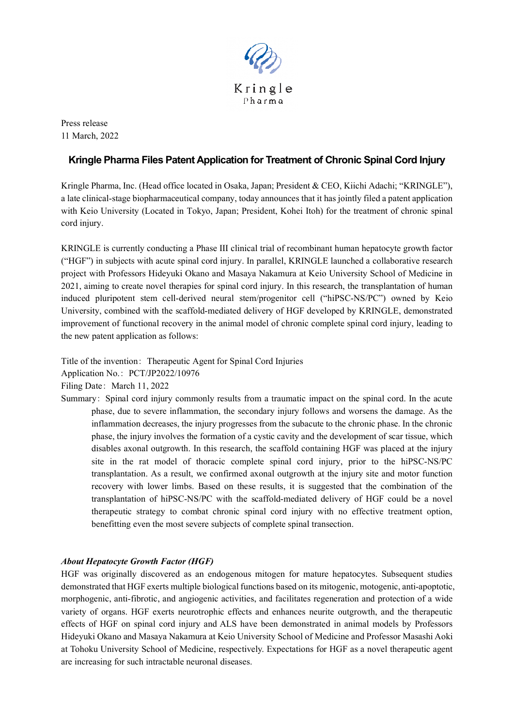

Press release 11 March, 2022

# **Kringle Pharma Files Patent Application for Treatment of Chronic Spinal Cord Injury**

Kringle Pharma, Inc. (Head office located in Osaka, Japan; President & CEO, Kiichi Adachi; "KRINGLE"), a late clinical-stage biopharmaceutical company, today announces that it has jointly filed a patent application with Keio University (Located in Tokyo, Japan; President, Kohei Itoh) for the treatment of chronic spinal cord injury.

KRINGLE is currently conducting a Phase III clinical trial of recombinant human hepatocyte growth factor ("HGF") in subjects with acute spinal cord injury. In parallel, KRINGLE launched a collaborative research project with Professors Hideyuki Okano and Masaya Nakamura at Keio University School of Medicine in 2021, aiming to create novel therapies for spinal cord injury. In this research, the transplantation of human induced pluripotent stem cell-derived neural stem/progenitor cell ("hiPSC-NS/PC") owned by Keio University, combined with the scaffold-mediated delivery of HGF developed by KRINGLE, demonstrated improvement of functional recovery in the animal model of chronic complete spinal cord injury, leading to the new patent application as follows:

Title of the invention: Therapeutic Agent for Spinal Cord Injuries Application No.: PCT/JP2022/10976 Filing Date: March 11, 2022

Summary: Spinal cord injury commonly results from a traumatic impact on the spinal cord. In the acute phase, due to severe inflammation, the secondary injury follows and worsens the damage. As the inflammation decreases, the injury progresses from the subacute to the chronic phase. In the chronic phase, the injury involves the formation of a cystic cavity and the development of scar tissue, which disables axonal outgrowth. In this research, the scaffold containing HGF was placed at the injury site in the rat model of thoracic complete spinal cord injury, prior to the hiPSC-NS/PC transplantation. As a result, we confirmed axonal outgrowth at the injury site and motor function recovery with lower limbs. Based on these results, it is suggested that the combination of the transplantation of hiPSC-NS/PC with the scaffold-mediated delivery of HGF could be a novel therapeutic strategy to combat chronic spinal cord injury with no effective treatment option, benefitting even the most severe subjects of complete spinal transection.

## *About Hepatocyte Growth Factor (HGF)*

HGF was originally discovered as an endogenous mitogen for mature hepatocytes. Subsequent studies demonstrated that HGF exerts multiple biological functions based on its mitogenic, motogenic, anti-apoptotic, morphogenic, anti-fibrotic, and angiogenic activities, and facilitates regeneration and protection of a wide variety of organs. HGF exerts neurotrophic effects and enhances neurite outgrowth, and the therapeutic effects of HGF on spinal cord injury and ALS have been demonstrated in animal models by Professors Hideyuki Okano and Masaya Nakamura at Keio University School of Medicine and Professor Masashi Aoki at Tohoku University School of Medicine, respectively. Expectations for HGF as a novel therapeutic agent are increasing for such intractable neuronal diseases.